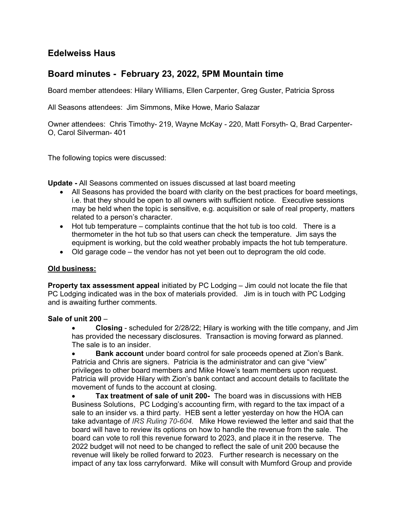# Edelweiss Haus

# Board minutes - February 23, 2022, 5PM Mountain time

Board member attendees: Hilary Williams, Ellen Carpenter, Greg Guster, Patricia Spross

All Seasons attendees: Jim Simmons, Mike Howe, Mario Salazar

Owner attendees: Chris Timothy- 219, Wayne McKay - 220, Matt Forsyth- Q, Brad Carpenter-O, Carol Silverman- 401

The following topics were discussed:

Update - All Seasons commented on issues discussed at last board meeting

- All Seasons has provided the board with clarity on the best practices for board meetings, i.e. that they should be open to all owners with sufficient notice. Executive sessions may be held when the topic is sensitive, e.g. acquisition or sale of real property, matters related to a person's character.
- $\bullet$  Hot tub temperature complaints continue that the hot tub is too cold. There is a thermometer in the hot tub so that users can check the temperature. Jim says the equipment is working, but the cold weather probably impacts the hot tub temperature.
- Old garage code the vendor has not yet been out to deprogram the old code.

### Old business:

Property tax assessment appeal initiated by PC Lodging – Jim could not locate the file that PC Lodging indicated was in the box of materials provided. Jim is in touch with PC Lodging and is awaiting further comments.

#### Sale of unit 200 –

 Closing - scheduled for 2/28/22; Hilary is working with the title company, and Jim has provided the necessary disclosures. Transaction is moving forward as planned. The sale is to an insider.

 Bank account under board control for sale proceeds opened at Zion's Bank. Patricia and Chris are signers. Patricia is the administrator and can give "view" privileges to other board members and Mike Howe's team members upon request. Patricia will provide Hilary with Zion's bank contact and account details to facilitate the movement of funds to the account at closing.

Tax treatment of sale of unit 200- The board was in discussions with HEB Business Solutions, PC Lodging's accounting firm, with regard to the tax impact of a sale to an insider vs. a third party. HEB sent a letter yesterday on how the HOA can take advantage of IRS Ruling 70-604. Mike Howe reviewed the letter and said that the board will have to review its options on how to handle the revenue from the sale. The board can vote to roll this revenue forward to 2023, and place it in the reserve. The 2022 budget will not need to be changed to reflect the sale of unit 200 because the revenue will likely be rolled forward to 2023. Further research is necessary on the impact of any tax loss carryforward. Mike will consult with Mumford Group and provide